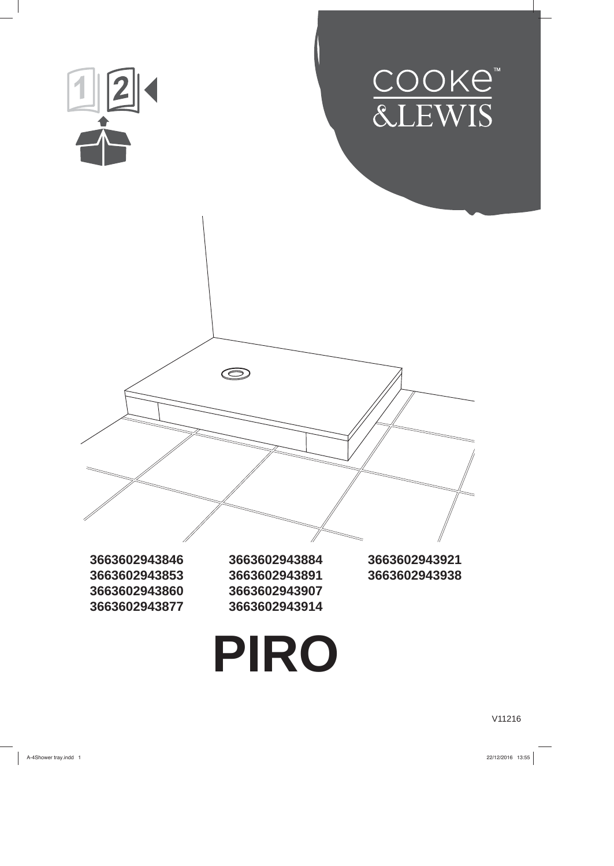

V11216

A-4Shower tray.indd 1 22/12/2016 13:55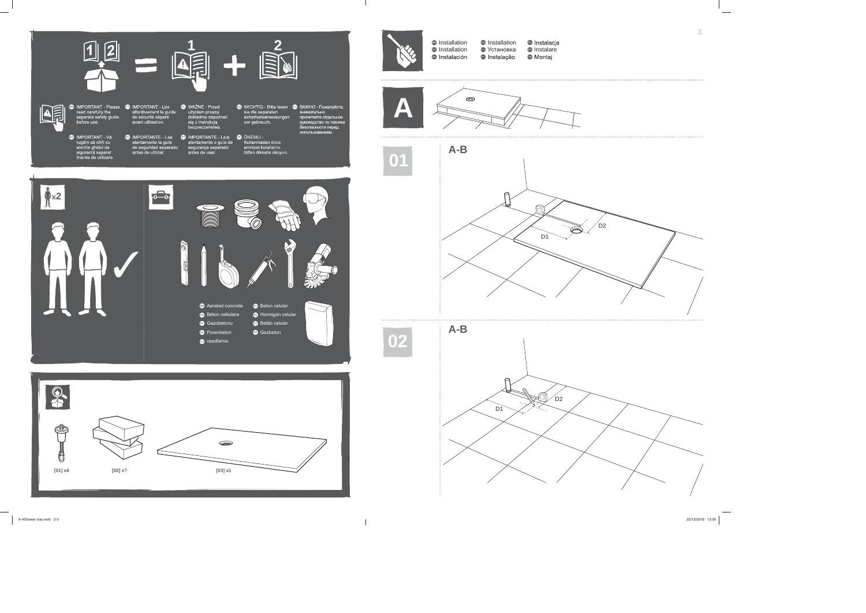- ț ț ț
- **1 IMPORTANT Please CD IMPORTANT Lire CD WAŻNE Przed<br>
read carefully the attentivement le guide użyciem proszę<br>
separate safety guide de sécurité séparé dokładnie zapozna<br>
dokładnie zapozna** 
	-

 $\left| \frac{d}{dt} \right|$ 

- **O** WICHTIG Bitte lesen **O** BAXHO Пожалуйста,<br>sie die separaten внимательно
- ÖNEMLI -

**x2**

8

 $\circledR$ 



Ö

Ail

Aerated concrete Béton cellulaire Gazobetonu Porenbeton газобетон

 $\qquad \qquad \Longleftrightarrow$ 

**[01] x6 [02] x? [03] x1**

- ię z ins<sup>i</sup>
- 

╔ D2 Ó D1

Installation Installation **B** Instalación

Installation ® Установка © Instalare <sup>o</sup> Instalação

Beton celular **B** Hormigón celular Betão celular Gazbeton



 $\mathbb{R}$ 



**02**







A-4Shower tray.indd 2-3 22/12/2016 13:55

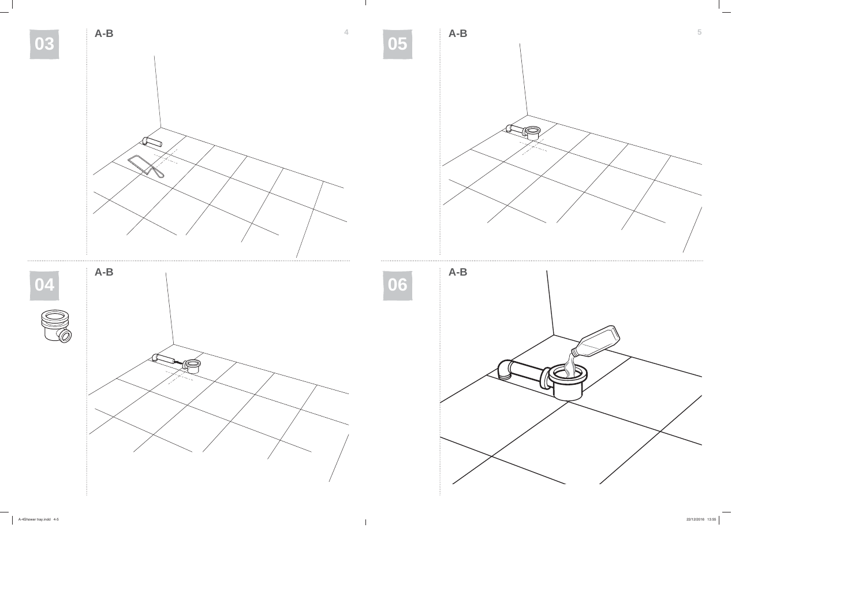

 $\blacksquare$ 

A-4Shower tray.indd 4-5 22/12/2016 13:55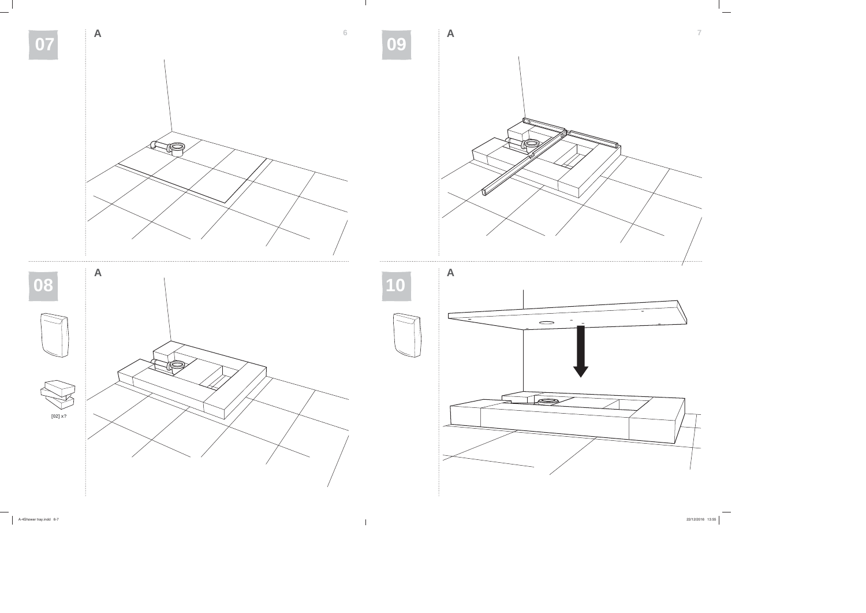

A-4Shower tray.indd 6-7 22/12/2016 13:55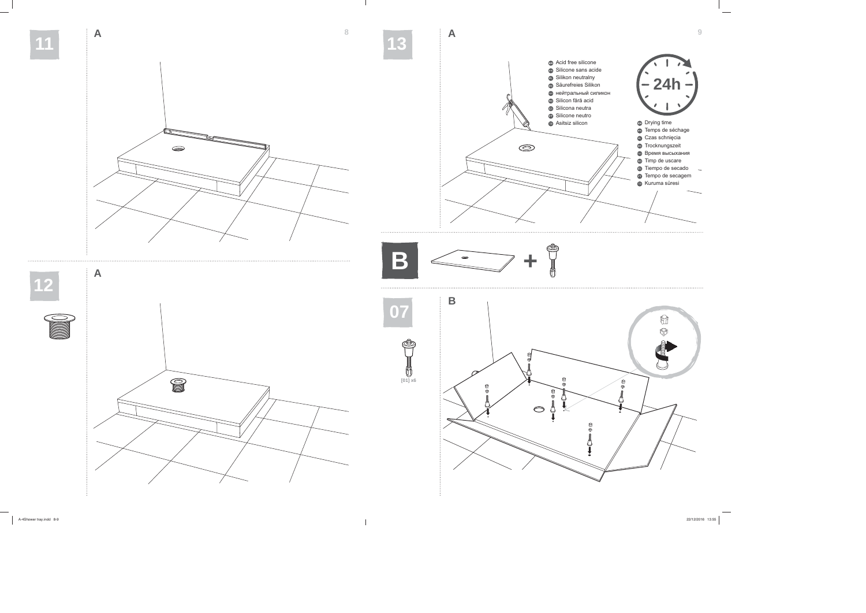

 $\mathbb{R}$ 

A-4Shower tray.indd 8-9

 $22/12/2016$  13:55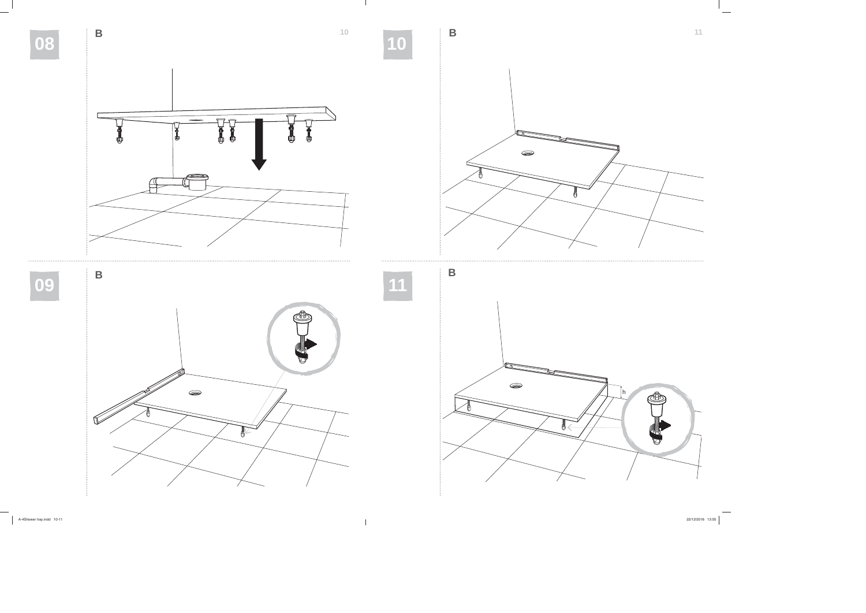

 $\mathbf{L}$ 

A-4Shower tray.indd 10-11 22/12/2016 13:55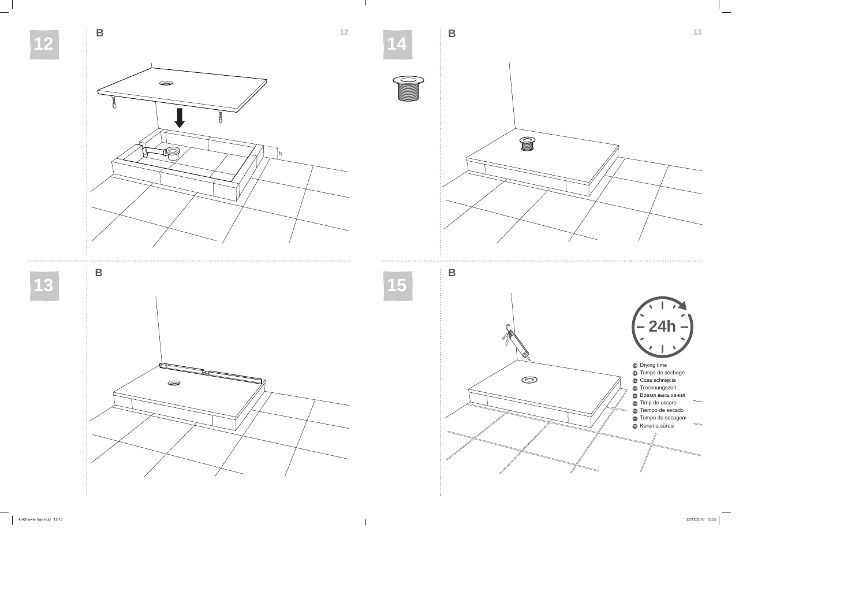

 $\mathbb{R}$ 

A-4Shower tray.indd 12-13 22/12/2016 13:55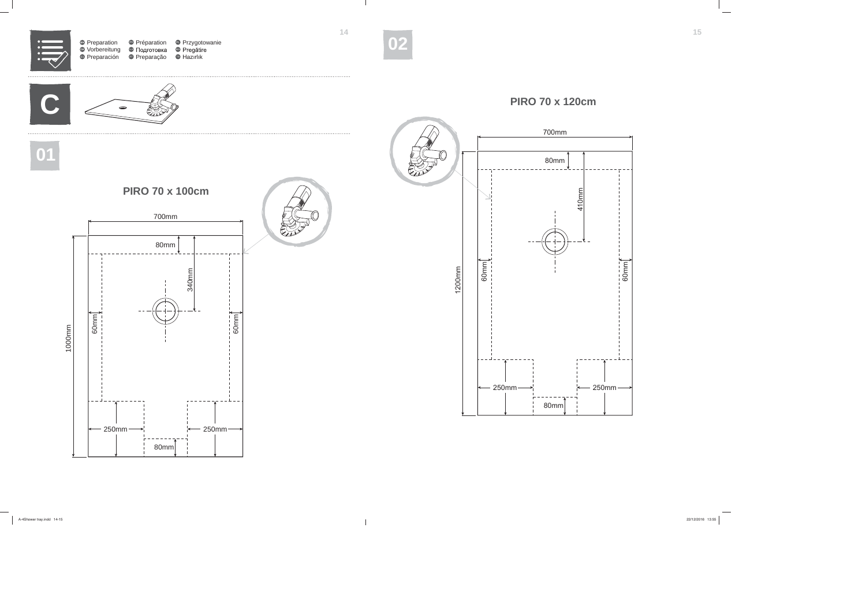

 $\blacksquare$ 

A-4Shower tray.indd 14-15 22/12/2016 13:55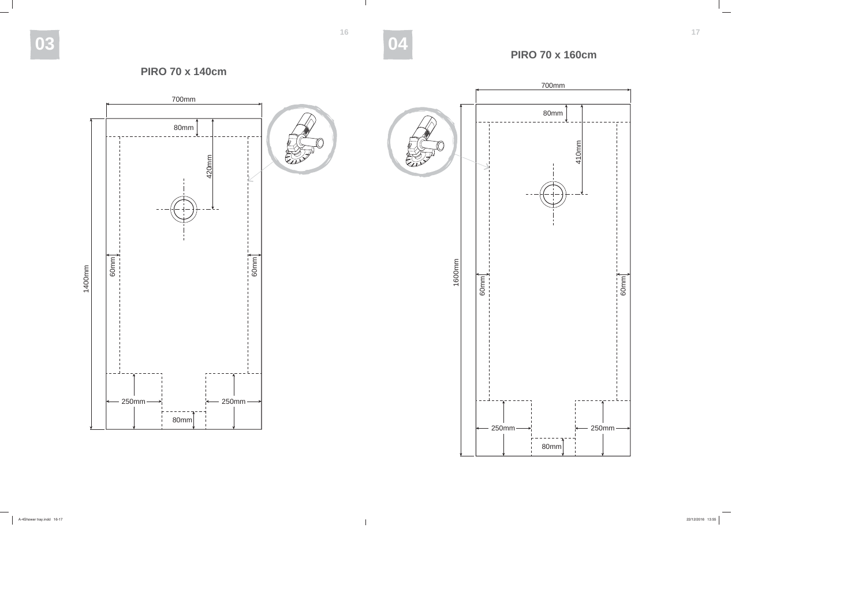$\mathbb{R}$ 





# **PIRO 70 x 160cm**

A-4Shower tray.indd 16-17 22/12/2016 13:55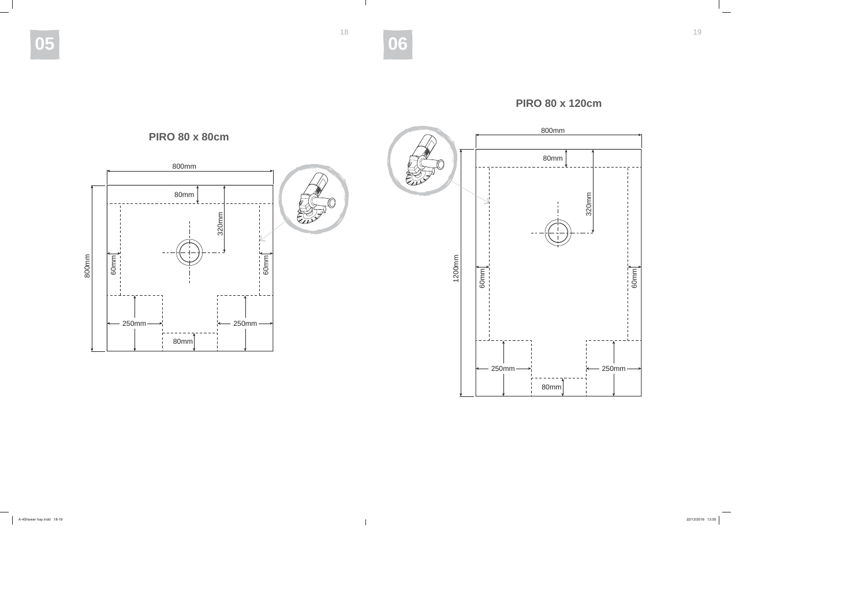**1819**

 $\mathbb{R}$ 

**05 06**





A-4Shower tray.indd 18-19 22/12/2016 13:55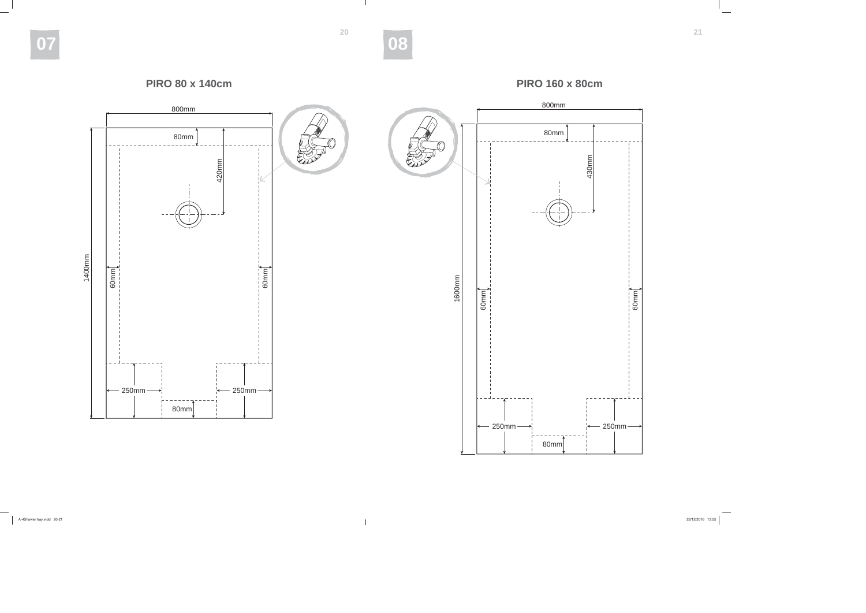**2021**

 $\mathbb{R}$ 

**07 08**



A-4Shower tray.indd 20-21 22/12/2016 13:55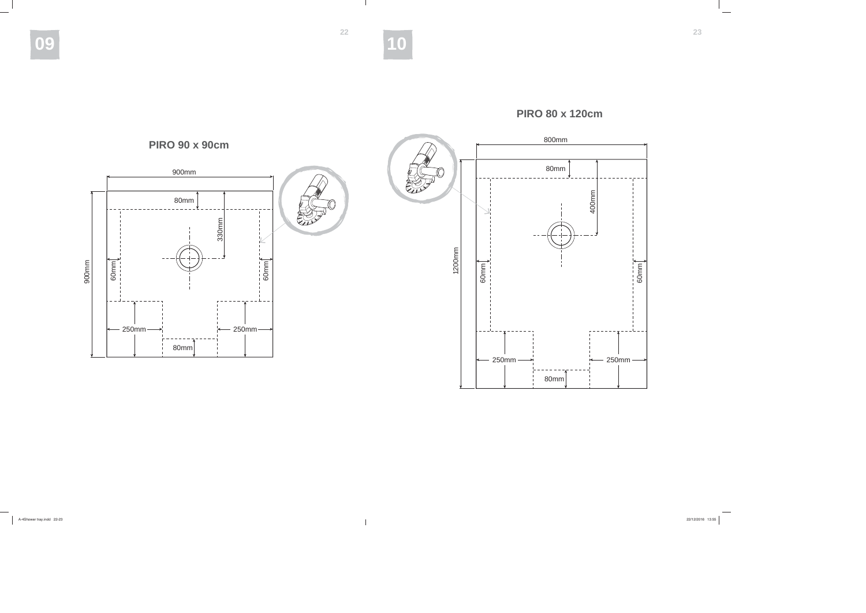**2223**

 $\mathbb{R}$ 

**09 10**



## **PIRO 80 x 120cm**

A-4Shower tray.indd 22-23 22/12/2016 13:55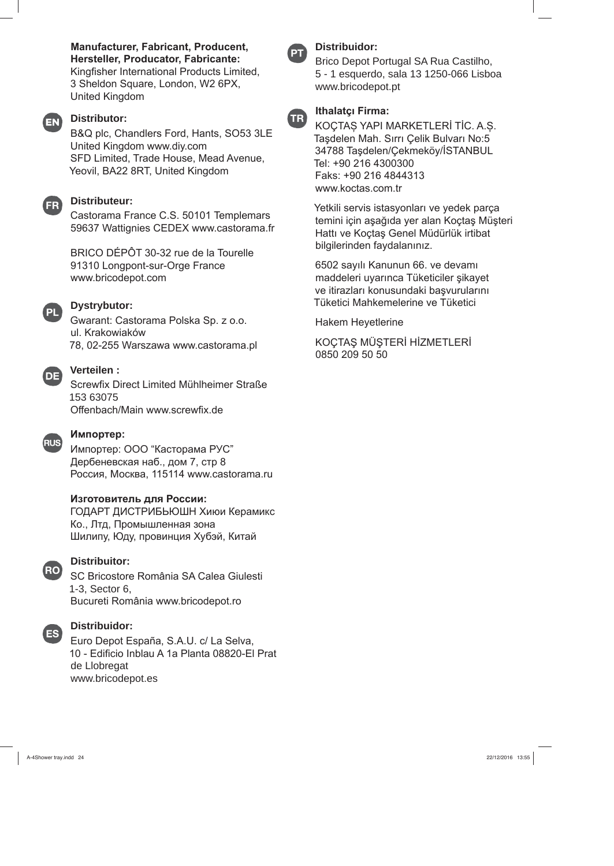Manufacturer, Fabricant, Producent, Hersteller, Producator, Fabricante: Kingfisher International Products Limited, 3 Sheldon Square, London, W2 6PX, **United Kingdom** 

## EN)

### **Distributor:**

B&Q plc, Chandlers Ford, Hants, SO53 3LE United Kingdom www.diy.com SFD Limited, Trade House, Mead Avenue, Yeovil, BA22 8RT, United Kingdom

# $FR)$

#### **Distributeur:**

Castorama France C.S. 50101 Templemars 59637 Wattignies CEDEX www.castorama.fr

BRICO DÉPÔT 30-32 rue de la Tourelle 91310 Longpont-sur-Orge France www.bricodepot.com



### **Dystrybutor:**

Gwarant: Castorama Polska Sp. z o.o. ul. Krakowiaków 78, 02-255 Warszawa www.castorama.pl



#### Verteilen:

Screwfix Direct Limited Mühlheimer Straße 153 63075 Offenbach/Main www.screwfix.de



#### Импортер:

Импортер: ООО "Касторама РУС" Дербеневская наб., дом 7, стр 8 Россия, Москва, 115114 www.castorama.ru

## Изготовитель для России:

ГОДАРТ ДИСТРИБЬЮШН Хиюи Керамикс Ко., Лтд, Промышленная зона Шилипу, Юду, провинция Хубэй, Китай



#### **Distribuitor:**

SC Bricostore România SA Calea Giulesti 1-3, Sector 6, Bucureti România www.bricodepot.ro



#### **Distribuidor:**

Euro Depot España, S.A.U. c/ La Selva, 10 - Edificio Inblau A 1a Planta 08820-El Prat de Llobregat www.bricodepot.es

# **Distribuidor:**

Brico Depot Portugal SA Rua Castilho, 5 - 1 esquerdo, sala 13 1250-066 Lisboa www.bricodepot.pt



# KOÇTAŞ YAPI MARKETLERİ TİC. A.Ş.

Taşdelen Mah. Sırrı Çelik Bulvarı No:5 34788 Taşdelen/Çekmeköy/İSTANBUL Tel: +90 216 4300300 Faks: +90 216 4844313 www.koctas.com.tr

Yetkili servis istasyonları ve yedek parça temini için aşağıda yer alan Koçtaş Müşteri Hattı ve Koçtaş Genel Müdürlük irtibat bilgilerinden faydalanınız.

6502 sayılı Kanunun 66. ve devamı maddeleri uyarınca Tüketiciler şikayet ve itirazları konusundaki başvurularını Tüketici Mahkemelerine ve Tüketici

**Hakem Heyetlerine** 

KOÇTAŞ MÜŞTERİ HİZMETLERİ 0850 209 50 50

A-4Shower trav.indd 24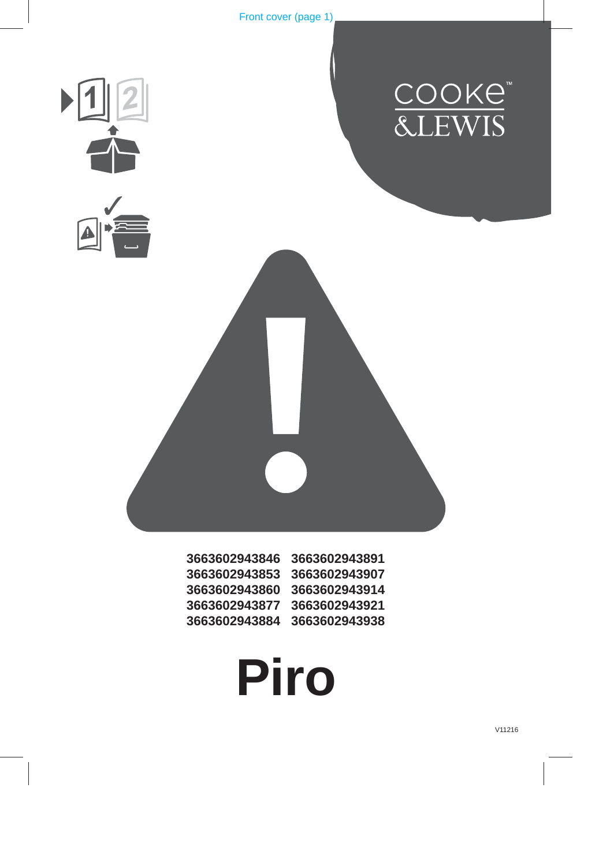







Front cover (page 1)

| 3663602943846 | 3663602943891 |
|---------------|---------------|
| 3663602943853 | 3663602943907 |
| 3663602943860 | 3663602943914 |
| 3663602943877 | 3663602943921 |
| 3663602943884 | 3663602943938 |

**Piro**

V11216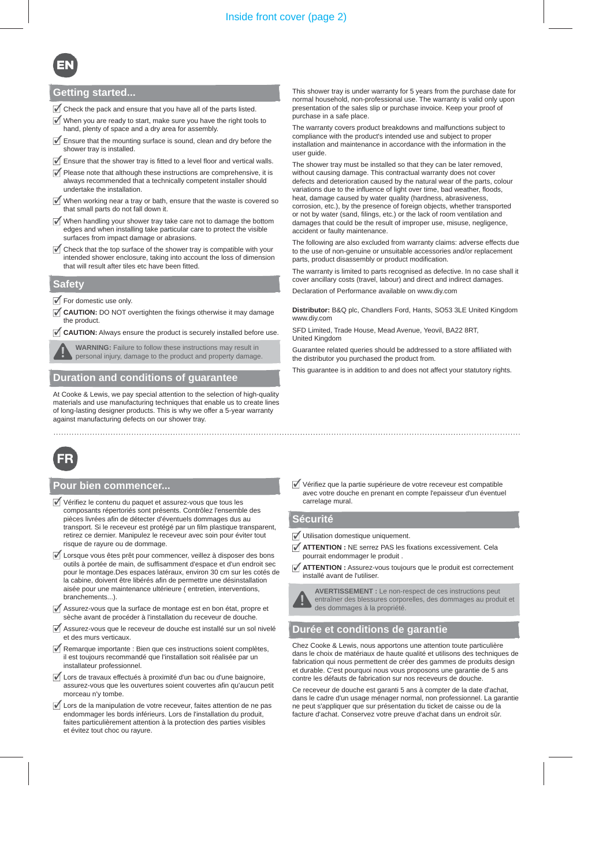#### **Pour bien commencer...**

- $\overline{\mathscr{I}}$  Vérifiez le contenu du paquet et assurez-vous que tous les composants répertoriés sont présents. Contrôlez l'ensemble des pièces livrées afin de détecter d'éventuels dommages dus au transport. Si le receveur est protégé par un film plastique transparent, retirez ce dernier. Manipulez le receveur avec soin pour éviter tout risque de rayure ou de dommage.
- $\overline{\mathcal{J}}$  Lorsque vous êtes prêt pour commencer, veillez à disposer des bons outils à portée de main, de suffisamment d'espace et d'un endroit sec pour le montage.Des espaces latéraux, environ 30 cm sur les cotés de la cabine, doivent être libérés afin de permettre une désinstallation aisée pour une maintenance ultérieure ( entretien, interventions, branchements...).
- $\overline{\mathscr{A}}$  Assurez-vous que la surface de montage est en bon état, propre et sèche avant de procéder à l'installation du receveur de douche.
- $\overline{\mathcal{A}}$  Assurez-vous que le receveur de douche est installé sur un sol nivelé et des murs verticaux.
- $\overline{\mathcal{J}}$  Remarque importante : Bien que ces instructions soient complètes, il est toujours recommandé que l'installation soit réalisée par un installateur professionnel.
- Lors de travaux effectués à proximité d'un bac ou d'une baignoire, assurez-vous que les ouvertures soient couvertes afin qu'aucun petit morceau n'y tombe.
- $\overline{\mathcal{J}}$  Lors de la manipulation de votre receveur, faites attention de ne pas endommager les bords inférieurs. Lors de l'installation du produit, faites particulièrement attention à la protection des parties visibles et évitez tout choc ou rayure.

Vérifiez que la partie supérieure de votre receveur est compatible avec votre douche en prenant en compte l'epaisseur d'un éventuel carrelage mural.

#### **Sécurité**

- Utilisation domestique uniquement.
- **ATTENTION :** NE serrez PAS les fixations excessivement. Cela pourrait endommager le produit .
- **ATTENTION :** Assurez-vous toujours que le produit est correctement installé avant de l'utiliser.

**AVERTISSEMENT :** Le non-respect de ces instructions peut entraîner des blessures corporelles, des dommages au produit et des dommages à la propriété.

#### **Durée et conditions de garantie**

Chez Cooke & Lewis, nous apportons une attention toute particulière dans le choix de matériaux de haute qualité et utilisons des techniques de fabrication qui nous permettent de créer des gammes de produits design et durable. C'est pourquoi nous vous proposons une garantie de 5 ans contre les défauts de fabrication sur nos receveurs de douche.

Ce receveur de douche est garanti 5 ans à compter de la date d'achat, dans le cadre d'un usage ménager normal, non professionnel. La garantie ne peut s'appliquer que sur présentation du ticket de caisse ou de la facture d'achat. Conservez votre preuve d'achat dans un endroit sûr.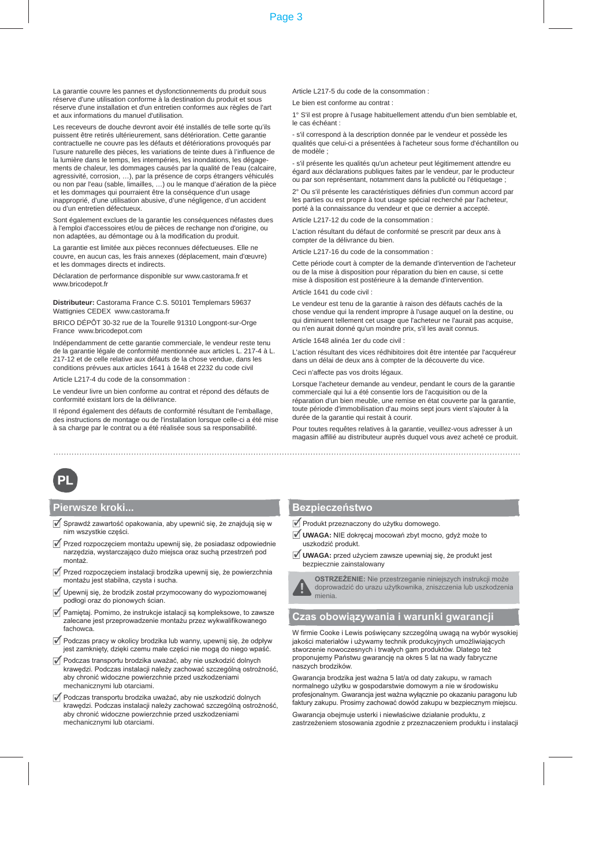La garantie couvre les pannes et dysfonctionnements du produit sous réserve d'une utilisation conforme à la destination du produit et sous réserve d'une installation et d'un entretien conformes aux règles de l'art et aux informations du manuel d'utilisation.

Les receveurs de douche devront avoir été installés de telle sorte qu'ils puissent être retirés ultérieurement, sans détérioration. Cette garantie contractuelle ne couvre pas les défauts et détériorations provoqués par l'usure naturelle des pièces, les variations de teinte dues à l'influence de la lumière dans le temps, les intempéries, les inondations, les dégagements de chaleur, les dommages causés par la qualité de l'eau (calcaire, agressivité, corrosion, …), par la présence de corps étrangers véhiculés ou non par l'eau (sable, limailles, …) ou le manque d'aération de la pièce et les dommages qui pourraient être la conséquence d'un usage inapproprié, d'une utilisation abusive, d'une négligence, d'un accident ou d'un entretien défectueux.

Sont également exclues de la garantie les conséquences néfastes dues à l'emploi d'accessoires et/ou de pièces de rechange non d'origine, ou non adaptées, au démontage ou à la modification du produit.

La garantie est limitée aux pièces reconnues défectueuses. Elle ne couvre, en aucun cas, les frais annexes (déplacement, main d'œuvre) et les dommages directs et indirects.

Déclaration de performance disponible sur www.castorama.fr et www.bricodepot.fr

**Distributeur:** Castorama France C.S. 50101 Templemars 59637 Wattignies CEDEX www.castorama.fr

BRICO DÉPÔT 30-32 rue de la Tourelle 91310 Longpont-sur-Orge France www.bricodepot.com

Indépendamment de cette garantie commerciale, le vendeur reste tenu de la garantie légale de conformité mentionnée aux articles L. 217-4 à L. 217-12 et de celle relative aux défauts de la chose vendue, dans les conditions prévues aux articles 1641 à 1648 et 2232 du code civil

Article L217-4 du code de la consommation :

Le vendeur livre un bien conforme au contrat et répond des défauts de conformité existant lors de la délivrance.

Il répond également des défauts de conformité résultant de l'emballage, des instructions de montage ou de l'installation lorsque celle-ci a été mise à sa charge par le contrat ou a été réalisée sous sa responsabilité.

Article L217-5 du code de la consommation :

Le bien est conforme au contrat :

1° S'il est propre à l'usage habituellement attendu d'un bien semblable et, le cas échéant :

- s'il correspond à la description donnée par le vendeur et possède les qualités que celui-ci a présentées à l'acheteur sous forme d'échantillon ou de modèle ;

- s'il présente les qualités qu'un acheteur peut légitimement attendre eu égard aux déclarations publiques faites par le vendeur, par le producteur ou par son représentant, notamment dans la publicité ou l'étiquetage ;

2° Ou s'il présente les caractéristiques définies d'un commun accord par les parties ou est propre à tout usage spécial recherché par l'acheteur, porté à la connaissance du vendeur et que ce dernier a accepté.

Article L217-12 du code de la consommation :

L'action résultant du défaut de conformité se prescrit par deux ans à compter de la délivrance du bien.

Article L217-16 du code de la consommation :

Cette période court à compter de la demande d'intervention de l'acheteur ou de la mise à disposition pour réparation du bien en cause, si cette mise à disposition est postérieure à la demande d'intervention.

Article 1641 du code civil :

Le vendeur est tenu de la garantie à raison des défauts cachés de la chose vendue qui la rendent impropre à l'usage auquel on la destine, ou qui diminuent tellement cet usage que l'acheteur ne l'aurait pas acquise, ou n'en aurait donné qu'un moindre prix, s'il les avait connus.

Article 1648 alinéa 1er du code civil :

L'action résultant des vices rédhibitoires doit être intentée par l'acquéreur dans un délai de deux ans à compter de la découverte du vice.

Ceci n'affecte pas vos droits légaux.

Lorsque l'acheteur demande au vendeur, pendant le cours de la garantie commerciale qui lui a été consentie lors de l'acquisition ou de la réparation d'un bien meuble, une remise en état couverte par la garantie, toute période d'immobilisation d'au moins sept jours vient s'ajouter à la durée de la garantie qui restait à courir.

Pour toutes requêtes relatives à la garantie, veuillez-vous adresser à un magasin affilié au distributeur auprès duquel vous avez acheté ce produit.